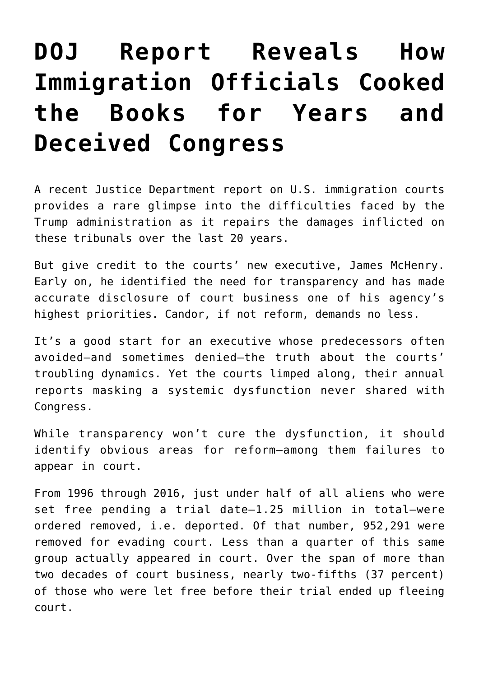## **[DOJ Report Reveals How](https://intellectualtakeout.org/2018/06/doj-report-reveals-how-immigration-officials-cooked-the-books-for-years-and-deceived-congress/) [Immigration Officials Cooked](https://intellectualtakeout.org/2018/06/doj-report-reveals-how-immigration-officials-cooked-the-books-for-years-and-deceived-congress/) [the Books for Years and](https://intellectualtakeout.org/2018/06/doj-report-reveals-how-immigration-officials-cooked-the-books-for-years-and-deceived-congress/) [Deceived Congress](https://intellectualtakeout.org/2018/06/doj-report-reveals-how-immigration-officials-cooked-the-books-for-years-and-deceived-congress/)**

A recent Justice Department report on U.S. immigration courts provides a rare glimpse into the difficulties faced by the Trump administration as it repairs the damages inflicted on these tribunals over the last 20 years.

But give credit to the courts' new executive, James McHenry. Early on, he identified the need for transparency and has made accurate disclosure of court business one of his agency's highest priorities. Candor, if not reform, demands no less.

It's a good start for an executive whose predecessors often avoided—and sometimes denied—the truth about the courts' troubling dynamics. Yet the courts limped along, their annual reports masking a systemic dysfunction never shared with Congress.

While transparency won't cure the dysfunction, it should identify obvious areas for reform—among them failures to appear in court.

From 1996 through 2016, just under half of all aliens who were set free pending a trial date—1.25 million in total—were ordered removed, i.e. deported. Of that number, 952,291 were removed for evading court. Less than a quarter of this same group actually appeared in court. Over the span of more than two decades of court business, nearly two-fifths (37 percent) of those who were let free before their trial ended up fleeing court.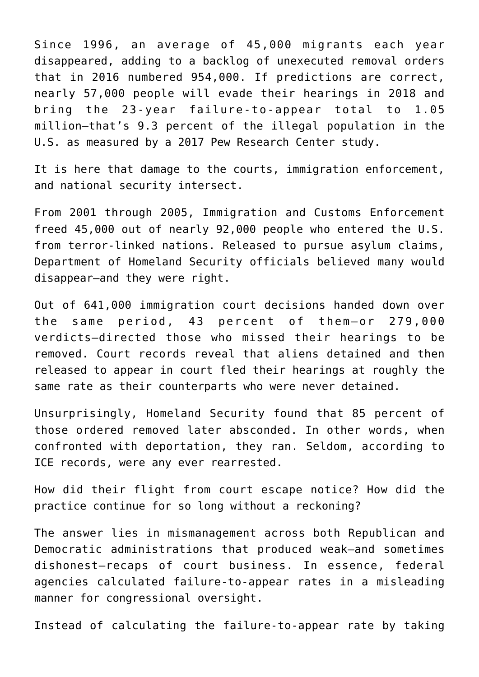Since 1996, an average of 45,000 migrants each year disappeared, adding to a backlog of unexecuted removal orders that in 2016 numbered 954,000. If predictions are correct, nearly 57,000 people will evade their hearings in 2018 and bring the 23-year failure-to-appear total to 1.05 million—that's 9.3 percent of the illegal population in the U.S. as measured by a 2017 Pew Research Center study.

It is here that damage to the courts, immigration enforcement, and national security intersect.

From 2001 through 2005, Immigration and Customs Enforcement freed 45,000 out of nearly 92,000 people who entered the U.S. from terror-linked nations. Released to pursue asylum claims, Department of Homeland Security officials believed many would disappear—and they were right.

Out of 641,000 immigration court decisions handed down over the same period, 43 percent of them—or 279,000 verdicts—directed those who missed their hearings to be removed. Court records reveal that aliens detained and then released to appear in court fled their hearings at roughly the same rate as their counterparts who were never detained.

Unsurprisingly, Homeland Security found that 85 percent of those ordered removed later absconded. In other words, when confronted with deportation, they ran. Seldom, according to ICE records, were any ever rearrested.

How did their flight from court escape notice? How did the practice continue for so long without a reckoning?

The answer lies in mismanagement across both Republican and Democratic administrations that produced weak—and sometimes dishonest—recaps of court business. In essence, federal agencies calculated failure-to-appear rates in a misleading manner for congressional oversight.

Instead of calculating the failure-to-appear rate by taking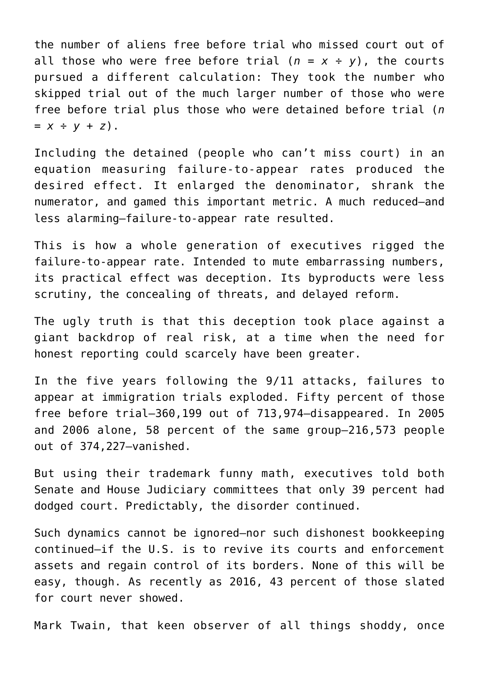the number of aliens free before trial who missed court out of all those who were free before trial  $(n = x + y)$ , the courts pursued a different calculation: They took the number who skipped trial out of the much larger number of those who were free before trial plus those who were detained before trial (*n = x ÷ y + z*).

Including the detained (people who can't miss court) in an equation measuring failure-to-appear rates produced the desired effect. It enlarged the denominator, shrank the numerator, and gamed this important metric. A much reduced—and less alarming—failure-to-appear rate resulted.

This is how a whole generation of executives rigged the failure-to-appear rate. Intended to mute embarrassing numbers, its practical effect was deception. Its byproducts were less scrutiny, the concealing of threats, and delayed reform.

The ugly truth is that this deception took place against a giant backdrop of real risk, at a time when the need for honest reporting could scarcely have been greater.

In the five years following the 9/11 attacks, failures to appear at immigration trials exploded. Fifty percent of those free before trial—360,199 out of 713,974—disappeared. In 2005 and 2006 alone, 58 percent of the same group—216,573 people out of 374,227—vanished.

But using their trademark funny math, executives told both Senate and House Judiciary committees that only 39 percent had dodged court. Predictably, the disorder continued.

Such dynamics cannot be ignored—nor such dishonest bookkeeping continued—if the U.S. is to revive its courts and enforcement assets and regain control of its borders. None of this will be easy, though. As recently as 2016, 43 percent of those slated for court never showed.

Mark Twain, that keen observer of all things shoddy, once